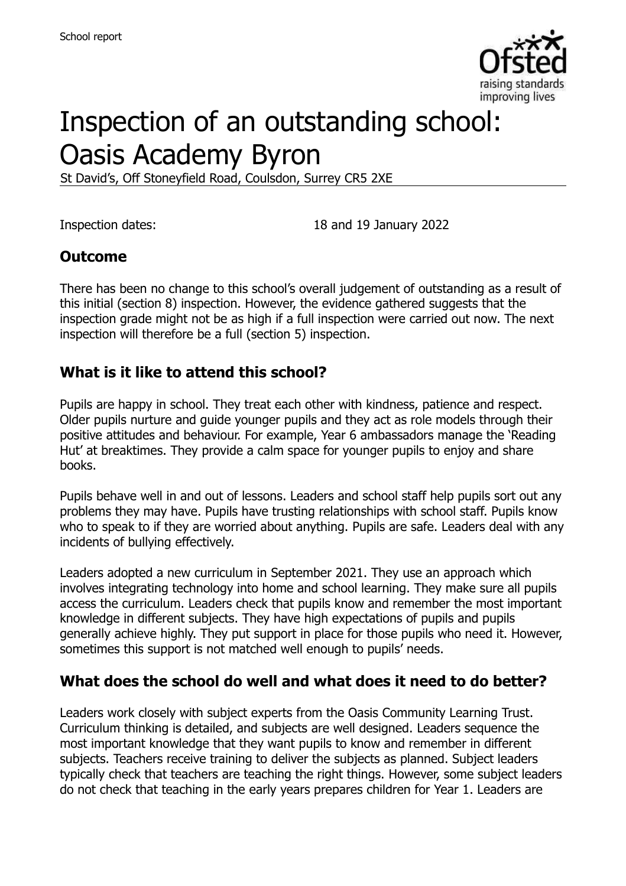

# Inspection of an outstanding school: Oasis Academy Byron

St David's, Off Stoneyfield Road, Coulsdon, Surrey CR5 2XE

Inspection dates: 18 and 19 January 2022

## **Outcome**

There has been no change to this school's overall judgement of outstanding as a result of this initial (section 8) inspection. However, the evidence gathered suggests that the inspection grade might not be as high if a full inspection were carried out now. The next inspection will therefore be a full (section 5) inspection.

#### **What is it like to attend this school?**

Pupils are happy in school. They treat each other with kindness, patience and respect. Older pupils nurture and guide younger pupils and they act as role models through their positive attitudes and behaviour. For example, Year 6 ambassadors manage the 'Reading Hut' at breaktimes. They provide a calm space for younger pupils to enjoy and share books.

Pupils behave well in and out of lessons. Leaders and school staff help pupils sort out any problems they may have. Pupils have trusting relationships with school staff. Pupils know who to speak to if they are worried about anything. Pupils are safe. Leaders deal with any incidents of bullying effectively.

Leaders adopted a new curriculum in September 2021. They use an approach which involves integrating technology into home and school learning. They make sure all pupils access the curriculum. Leaders check that pupils know and remember the most important knowledge in different subjects. They have high expectations of pupils and pupils generally achieve highly. They put support in place for those pupils who need it. However, sometimes this support is not matched well enough to pupils' needs.

## **What does the school do well and what does it need to do better?**

Leaders work closely with subject experts from the Oasis Community Learning Trust. Curriculum thinking is detailed, and subjects are well designed. Leaders sequence the most important knowledge that they want pupils to know and remember in different subjects. Teachers receive training to deliver the subjects as planned. Subject leaders typically check that teachers are teaching the right things. However, some subject leaders do not check that teaching in the early years prepares children for Year 1. Leaders are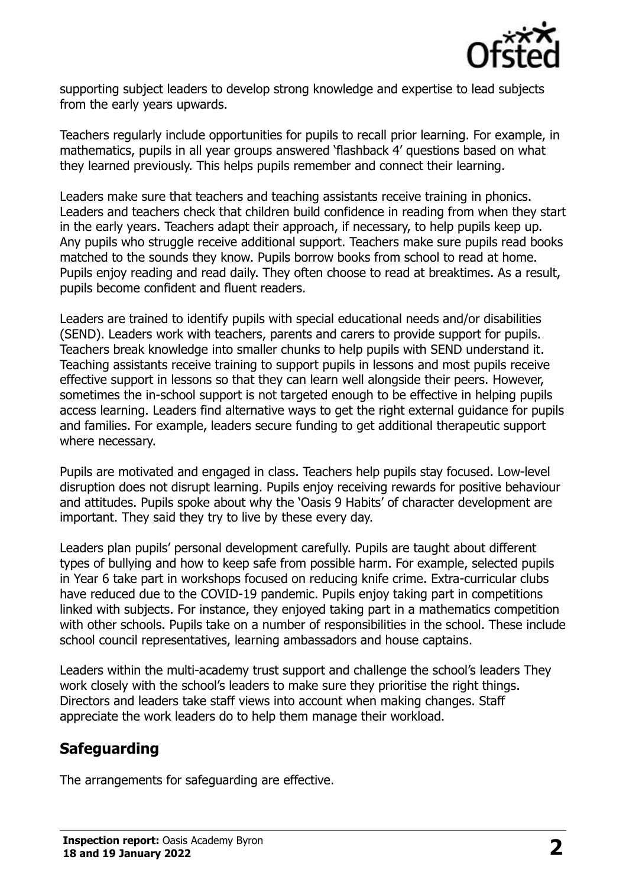

supporting subject leaders to develop strong knowledge and expertise to lead subjects from the early years upwards.

Teachers regularly include opportunities for pupils to recall prior learning. For example, in mathematics, pupils in all year groups answered 'flashback 4' questions based on what they learned previously. This helps pupils remember and connect their learning.

Leaders make sure that teachers and teaching assistants receive training in phonics. Leaders and teachers check that children build confidence in reading from when they start in the early years. Teachers adapt their approach, if necessary, to help pupils keep up. Any pupils who struggle receive additional support. Teachers make sure pupils read books matched to the sounds they know. Pupils borrow books from school to read at home. Pupils enjoy reading and read daily. They often choose to read at breaktimes. As a result, pupils become confident and fluent readers.

Leaders are trained to identify pupils with special educational needs and/or disabilities (SEND). Leaders work with teachers, parents and carers to provide support for pupils. Teachers break knowledge into smaller chunks to help pupils with SEND understand it. Teaching assistants receive training to support pupils in lessons and most pupils receive effective support in lessons so that they can learn well alongside their peers. However, sometimes the in-school support is not targeted enough to be effective in helping pupils access learning. Leaders find alternative ways to get the right external guidance for pupils and families. For example, leaders secure funding to get additional therapeutic support where necessary.

Pupils are motivated and engaged in class. Teachers help pupils stay focused. Low-level disruption does not disrupt learning. Pupils enjoy receiving rewards for positive behaviour and attitudes. Pupils spoke about why the 'Oasis 9 Habits' of character development are important. They said they try to live by these every day.

Leaders plan pupils' personal development carefully. Pupils are taught about different types of bullying and how to keep safe from possible harm. For example, selected pupils in Year 6 take part in workshops focused on reducing knife crime. Extra-curricular clubs have reduced due to the COVID-19 pandemic. Pupils enjoy taking part in competitions linked with subjects. For instance, they enjoyed taking part in a mathematics competition with other schools. Pupils take on a number of responsibilities in the school. These include school council representatives, learning ambassadors and house captains.

Leaders within the multi-academy trust support and challenge the school's leaders They work closely with the school's leaders to make sure they prioritise the right things. Directors and leaders take staff views into account when making changes. Staff appreciate the work leaders do to help them manage their workload.

# **Safeguarding**

The arrangements for safeguarding are effective.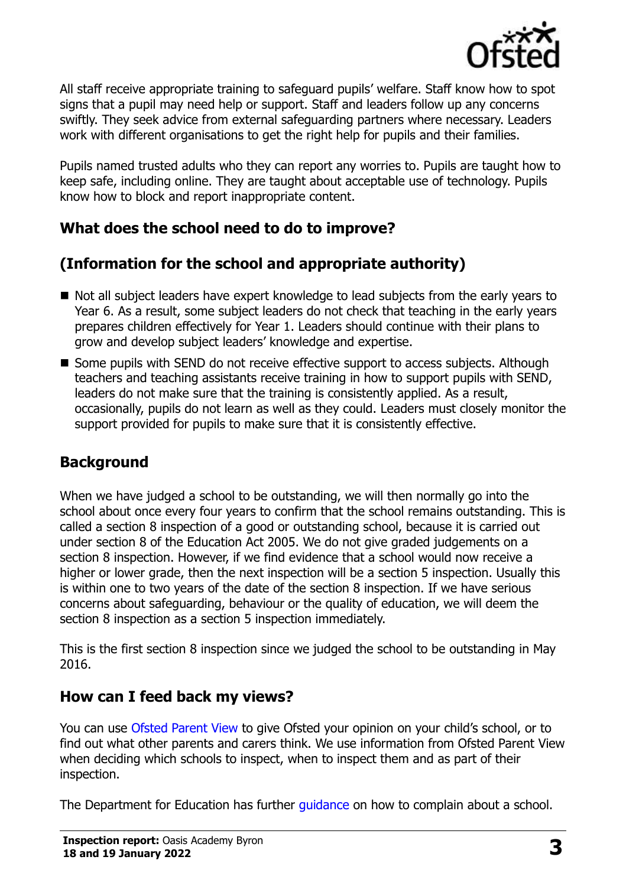

All staff receive appropriate training to safeguard pupils' welfare. Staff know how to spot signs that a pupil may need help or support. Staff and leaders follow up any concerns swiftly. They seek advice from external safeguarding partners where necessary. Leaders work with different organisations to get the right help for pupils and their families.

Pupils named trusted adults who they can report any worries to. Pupils are taught how to keep safe, including online. They are taught about acceptable use of technology. Pupils know how to block and report inappropriate content.

# **What does the school need to do to improve?**

# **(Information for the school and appropriate authority)**

- Not all subject leaders have expert knowledge to lead subjects from the early years to Year 6. As a result, some subject leaders do not check that teaching in the early years prepares children effectively for Year 1. Leaders should continue with their plans to grow and develop subject leaders' knowledge and expertise.
- Some pupils with SEND do not receive effective support to access subjects. Although teachers and teaching assistants receive training in how to support pupils with SEND, leaders do not make sure that the training is consistently applied. As a result, occasionally, pupils do not learn as well as they could. Leaders must closely monitor the support provided for pupils to make sure that it is consistently effective.

## **Background**

When we have judged a school to be outstanding, we will then normally go into the school about once every four years to confirm that the school remains outstanding. This is called a section 8 inspection of a good or outstanding school, because it is carried out under section 8 of the Education Act 2005. We do not give graded judgements on a section 8 inspection. However, if we find evidence that a school would now receive a higher or lower grade, then the next inspection will be a section 5 inspection. Usually this is within one to two years of the date of the section 8 inspection. If we have serious concerns about safeguarding, behaviour or the quality of education, we will deem the section 8 inspection as a section 5 inspection immediately.

This is the first section 8 inspection since we judged the school to be outstanding in May 2016.

## **How can I feed back my views?**

You can use [Ofsted Parent View](https://parentview.ofsted.gov.uk/) to give Ofsted your opinion on your child's school, or to find out what other parents and carers think. We use information from Ofsted Parent View when deciding which schools to inspect, when to inspect them and as part of their inspection.

The Department for Education has further quidance on how to complain about a school.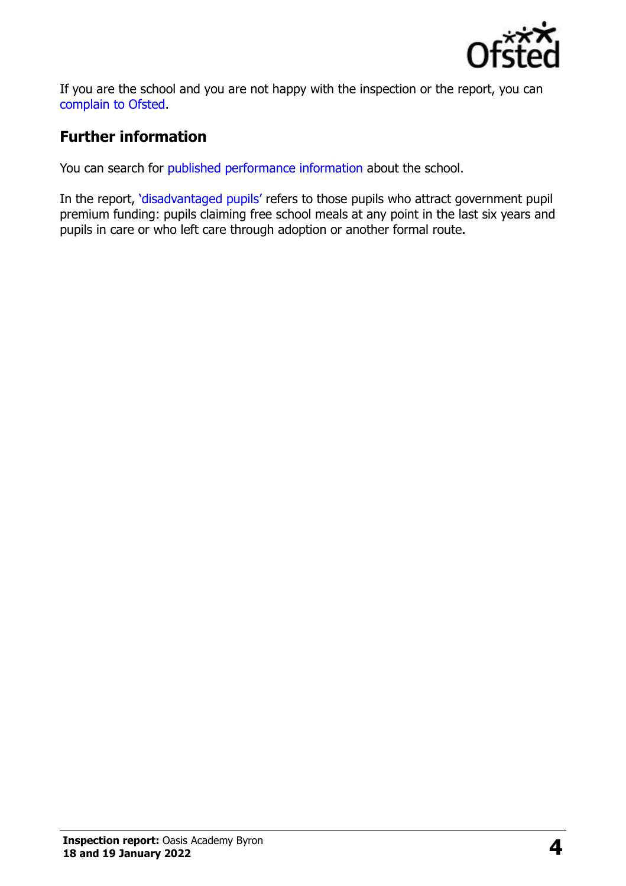

If you are the school and you are not happy with the inspection or the report, you can [complain to Ofsted.](https://www.gov.uk/complain-ofsted-report)

# **Further information**

You can search for [published performance information](http://www.compare-school-performance.service.gov.uk/) about the school.

In the report, '[disadvantaged pupils](http://www.gov.uk/guidance/pupil-premium-information-for-schools-and-alternative-provision-settings)' refers to those pupils who attract government pupil premium funding: pupils claiming free school meals at any point in the last six years and pupils in care or who left care through adoption or another formal route.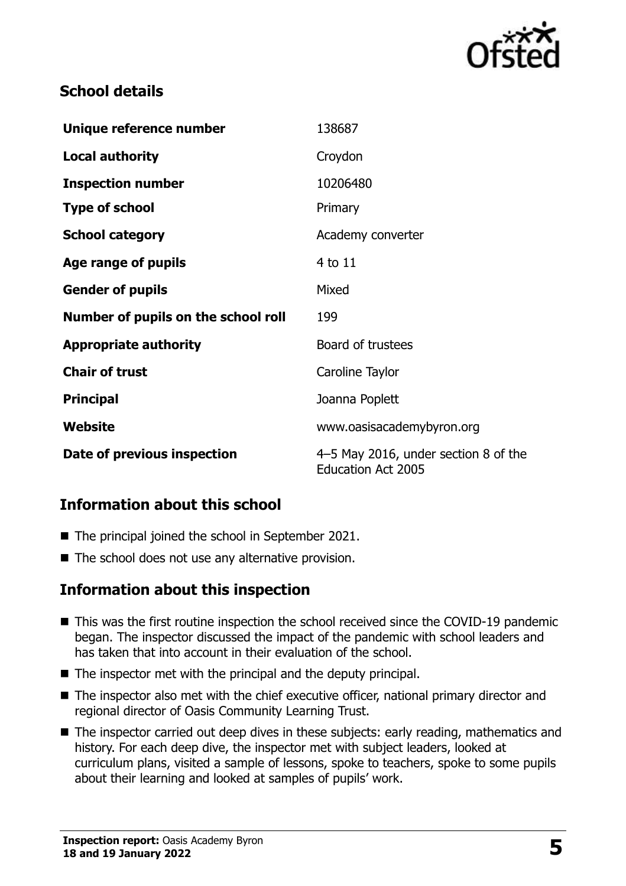

## **School details**

| Unique reference number             | 138687                                                            |
|-------------------------------------|-------------------------------------------------------------------|
| <b>Local authority</b>              | Croydon                                                           |
| <b>Inspection number</b>            | 10206480                                                          |
| <b>Type of school</b>               | Primary                                                           |
| <b>School category</b>              | Academy converter                                                 |
| Age range of pupils                 | 4 to 11                                                           |
| <b>Gender of pupils</b>             | Mixed                                                             |
| Number of pupils on the school roll | 199                                                               |
| <b>Appropriate authority</b>        | Board of trustees                                                 |
| <b>Chair of trust</b>               | Caroline Taylor                                                   |
| <b>Principal</b>                    | Joanna Poplett                                                    |
| Website                             | www.oasisacademybyron.org                                         |
| Date of previous inspection         | 4–5 May 2016, under section 8 of the<br><b>Education Act 2005</b> |

# **Information about this school**

- The principal joined the school in September 2021.
- The school does not use any alternative provision.

# **Information about this inspection**

- This was the first routine inspection the school received since the COVID-19 pandemic began. The inspector discussed the impact of the pandemic with school leaders and has taken that into account in their evaluation of the school.
- The inspector met with the principal and the deputy principal.
- The inspector also met with the chief executive officer, national primary director and regional director of Oasis Community Learning Trust.
- The inspector carried out deep dives in these subjects: early reading, mathematics and history. For each deep dive, the inspector met with subject leaders, looked at curriculum plans, visited a sample of lessons, spoke to teachers, spoke to some pupils about their learning and looked at samples of pupils' work.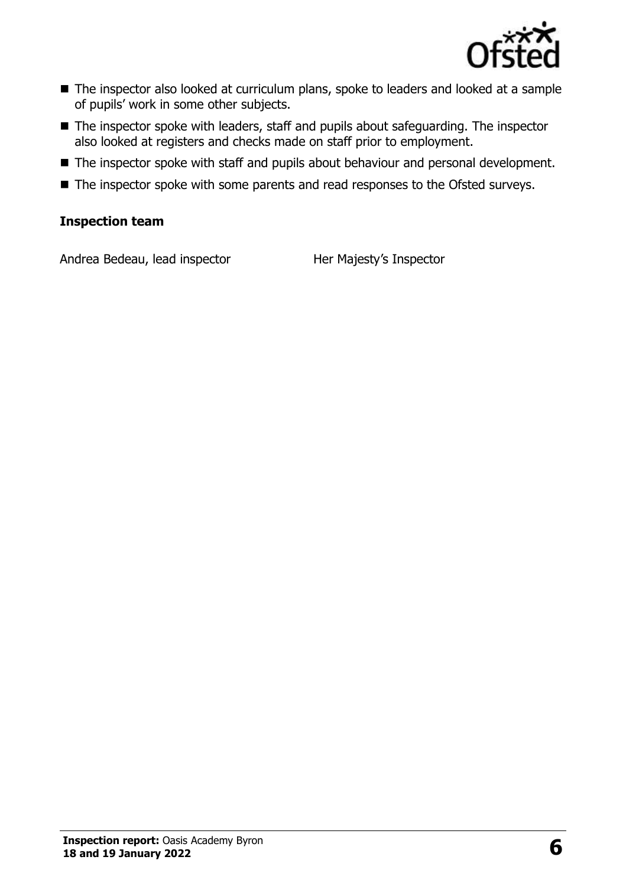

- The inspector also looked at curriculum plans, spoke to leaders and looked at a sample of pupils' work in some other subjects.
- The inspector spoke with leaders, staff and pupils about safeguarding. The inspector also looked at registers and checks made on staff prior to employment.
- The inspector spoke with staff and pupils about behaviour and personal development.
- The inspector spoke with some parents and read responses to the Ofsted surveys.

#### **Inspection team**

Andrea Bedeau, lead inspector Her Majesty's Inspector